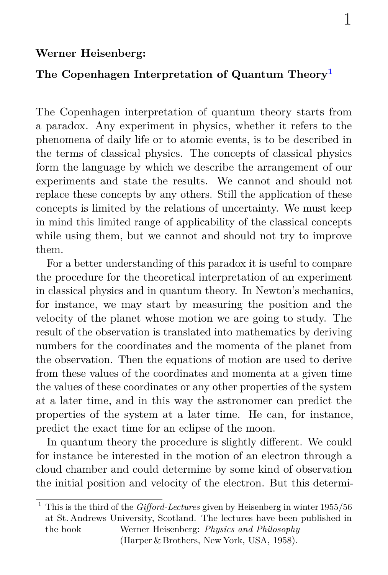## **The Copenhagen Interpretation of Quantum Theory[1](#page-0-0)**

The Copenhagen interpretation of quantum theory starts from a paradox. Any experiment in physics, whether it refers to the phenomena of daily life or to atomic events, is to be described in the terms of classical physics. The concepts of classical physics form the language by which we describe the arrangement of our experiments and state the results. We cannot and should not replace these concepts by any others. Still the application of these concepts is limited by the relations of uncertainty. We must keep in mind this limited range of applicability of the classical concepts while using them, but we cannot and should not try to improve them.

For a better understanding of this paradox it is useful to compare the procedure for the theoretical interpretation of an experiment in classical physics and in quantum theory. In Newton's mechanics, for instance, we may start by measuring the position and the velocity of the planet whose motion we are going to study. The result of the observation is translated into mathematics by deriving numbers for the coordinates and the momenta of the planet from the observation. Then the equations of motion are used to derive from these values of the coordinates and momenta at a given time the values of these coordinates or any other properties of the system at a later time, and in this way the astronomer can predict the properties of the system at a later time. He can, for instance, predict the exact time for an eclipse of the moon.

In quantum theory the procedure is slightly different. We could for instance be interested in the motion of an electron through a cloud chamber and could determine by some kind of observation the initial position and velocity of the electron. But this determi-

<span id="page-0-0"></span> $^{\rm 1}$  This is the third of the  $\emph{Gifford-Lectures}$  given by Heisenberg in winter 1955/56 at St. Andrews University, Scotland. The lectures have been published in the book Werner Heisenberg: *Physics and Philosophy* (Harper & Brothers, New York, USA, 1958).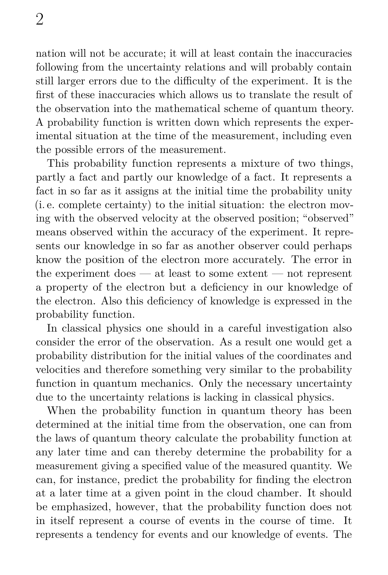nation will not be accurate; it will at least contain the inaccuracies following from the uncertainty relations and will probably contain still larger errors due to the difficulty of the experiment. It is the first of these inaccuracies which allows us to translate the result of the observation into the mathematical scheme of quantum theory. A probability function is written down which represents the experimental situation at the time of the measurement, including even the possible errors of the measurement.

This probability function represents a mixture of two things, partly a fact and partly our knowledge of a fact. It represents a fact in so far as it assigns at the initial time the probability unity (i. e. complete certainty) to the initial situation: the electron moving with the observed velocity at the observed position; "observed" means observed within the accuracy of the experiment. It represents our knowledge in so far as another observer could perhaps know the position of the electron more accurately. The error in the experiment does — at least to some extent — not represent a property of the electron but a deficiency in our knowledge of the electron. Also this deficiency of knowledge is expressed in the probability function.

In classical physics one should in a careful investigation also consider the error of the observation. As a result one would get a probability distribution for the initial values of the coordinates and velocities and therefore something very similar to the probability function in quantum mechanics. Only the necessary uncertainty due to the uncertainty relations is lacking in classical physics.

When the probability function in quantum theory has been determined at the initial time from the observation, one can from the laws of quantum theory calculate the probability function at any later time and can thereby determine the probability for a measurement giving a specified value of the measured quantity. We can, for instance, predict the probability for finding the electron at a later time at a given point in the cloud chamber. It should be emphasized, however, that the probability function does not in itself represent a course of events in the course of time. It represents a tendency for events and our knowledge of events. The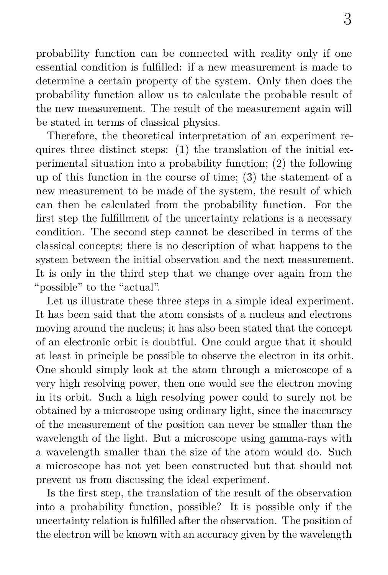probability function can be connected with reality only if one essential condition is fulfilled: if a new measurement is made to determine a certain property of the system. Only then does the probability function allow us to calculate the probable result of the new measurement. The result of the measurement again will be stated in terms of classical physics.

Therefore, the theoretical interpretation of an experiment requires three distinct steps: (1) the translation of the initial experimental situation into a probability function; (2) the following up of this function in the course of time; (3) the statement of a new measurement to be made of the system, the result of which can then be calculated from the probability function. For the first step the fulfillment of the uncertainty relations is a necessary condition. The second step cannot be described in terms of the classical concepts; there is no description of what happens to the system between the initial observation and the next measurement. It is only in the third step that we change over again from the "possible" to the "actual".

Let us illustrate these three steps in a simple ideal experiment. It has been said that the atom consists of a nucleus and electrons moving around the nucleus; it has also been stated that the concept of an electronic orbit is doubtful. One could argue that it should at least in principle be possible to observe the electron in its orbit. One should simply look at the atom through a microscope of a very high resolving power, then one would see the electron moving in its orbit. Such a high resolving power could to surely not be obtained by a microscope using ordinary light, since the inaccuracy of the measurement of the position can never be smaller than the wavelength of the light. But a microscope using gamma-rays with a wavelength smaller than the size of the atom would do. Such a microscope has not yet been constructed but that should not prevent us from discussing the ideal experiment.

Is the first step, the translation of the result of the observation into a probability function, possible? It is possible only if the uncertainty relation is fulfilled after the observation. The position of the electron will be known with an accuracy given by the wavelength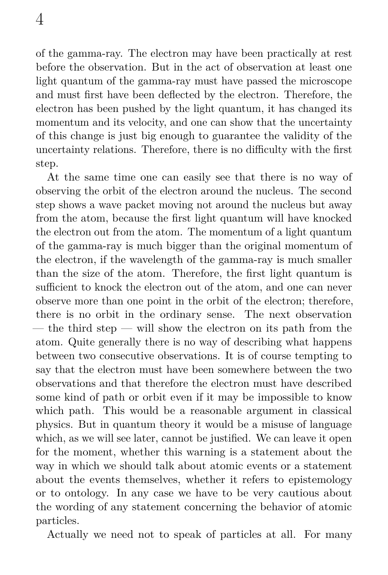of the gamma-ray. The electron may have been practically at rest before the observation. But in the act of observation at least one light quantum of the gamma-ray must have passed the microscope and must first have been deflected by the electron. Therefore, the electron has been pushed by the light quantum, it has changed its momentum and its velocity, and one can show that the uncertainty of this change is just big enough to guarantee the validity of the uncertainty relations. Therefore, there is no difficulty with the first step.

At the same time one can easily see that there is no way of observing the orbit of the electron around the nucleus. The second step shows a wave packet moving not around the nucleus but away from the atom, because the first light quantum will have knocked the electron out from the atom. The momentum of a light quantum of the gamma-ray is much bigger than the original momentum of the electron, if the wavelength of the gamma-ray is much smaller than the size of the atom. Therefore, the first light quantum is sufficient to knock the electron out of the atom, and one can never observe more than one point in the orbit of the electron; therefore, there is no orbit in the ordinary sense. The next observation — the third step — will show the electron on its path from the atom. Quite generally there is no way of describing what happens between two consecutive observations. It is of course tempting to say that the electron must have been somewhere between the two observations and that therefore the electron must have described some kind of path or orbit even if it may be impossible to know which path. This would be a reasonable argument in classical physics. But in quantum theory it would be a misuse of language which, as we will see later, cannot be justified. We can leave it open for the moment, whether this warning is a statement about the way in which we should talk about atomic events or a statement about the events themselves, whether it refers to epistemology or to ontology. In any case we have to be very cautious about the wording of any statement concerning the behavior of atomic particles.

Actually we need not to speak of particles at all. For many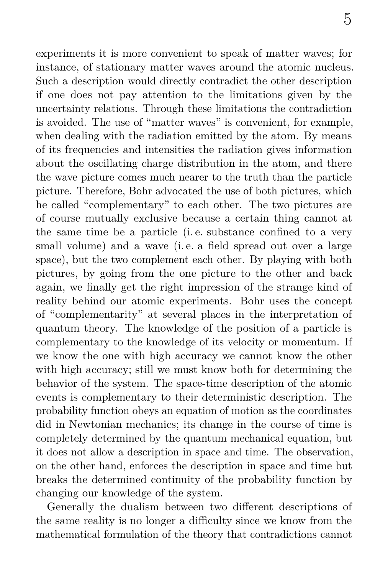experiments it is more convenient to speak of matter waves; for instance, of stationary matter waves around the atomic nucleus. Such a description would directly contradict the other description if one does not pay attention to the limitations given by the uncertainty relations. Through these limitations the contradiction is avoided. The use of "matter waves" is convenient, for example, when dealing with the radiation emitted by the atom. By means of its frequencies and intensities the radiation gives information about the oscillating charge distribution in the atom, and there the wave picture comes much nearer to the truth than the particle picture. Therefore, Bohr advocated the use of both pictures, which he called "complementary" to each other. The two pictures are of course mutually exclusive because a certain thing cannot at the same time be a particle (i. e. substance confined to a very small volume) and a wave (i. e. a field spread out over a large space), but the two complement each other. By playing with both pictures, by going from the one picture to the other and back again, we finally get the right impression of the strange kind of reality behind our atomic experiments. Bohr uses the concept of "complementarity" at several places in the interpretation of quantum theory. The knowledge of the position of a particle is complementary to the knowledge of its velocity or momentum. If we know the one with high accuracy we cannot know the other with high accuracy; still we must know both for determining the behavior of the system. The space-time description of the atomic events is complementary to their deterministic description. The probability function obeys an equation of motion as the coordinates did in Newtonian mechanics; its change in the course of time is completely determined by the quantum mechanical equation, but it does not allow a description in space and time. The observation, on the other hand, enforces the description in space and time but breaks the determined continuity of the probability function by changing our knowledge of the system.

Generally the dualism between two different descriptions of the same reality is no longer a difficulty since we know from the mathematical formulation of the theory that contradictions cannot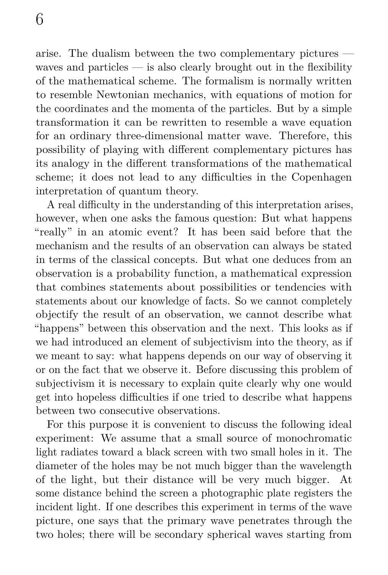arise. The dualism between the two complementary pictures waves and particles  $\frac{1}{\sqrt{2}}$  is also clearly brought out in the flexibility of the mathematical scheme. The formalism is normally written to resemble Newtonian mechanics, with equations of motion for the coordinates and the momenta of the particles. But by a simple transformation it can be rewritten to resemble a wave equation for an ordinary three-dimensional matter wave. Therefore, this possibility of playing with different complementary pictures has its analogy in the different transformations of the mathematical scheme; it does not lead to any difficulties in the Copenhagen interpretation of quantum theory.

A real difficulty in the understanding of this interpretation arises, however, when one asks the famous question: But what happens "really" in an atomic event? It has been said before that the mechanism and the results of an observation can always be stated in terms of the classical concepts. But what one deduces from an observation is a probability function, a mathematical expression that combines statements about possibilities or tendencies with statements about our knowledge of facts. So we cannot completely objectify the result of an observation, we cannot describe what "happens" between this observation and the next. This looks as if we had introduced an element of subjectivism into the theory, as if we meant to say: what happens depends on our way of observing it or on the fact that we observe it. Before discussing this problem of subjectivism it is necessary to explain quite clearly why one would get into hopeless difficulties if one tried to describe what happens between two consecutive observations.

For this purpose it is convenient to discuss the following ideal experiment: We assume that a small source of monochromatic light radiates toward a black screen with two small holes in it. The diameter of the holes may be not much bigger than the wavelength of the light, but their distance will be very much bigger. At some distance behind the screen a photographic plate registers the incident light. If one describes this experiment in terms of the wave picture, one says that the primary wave penetrates through the two holes; there will be secondary spherical waves starting from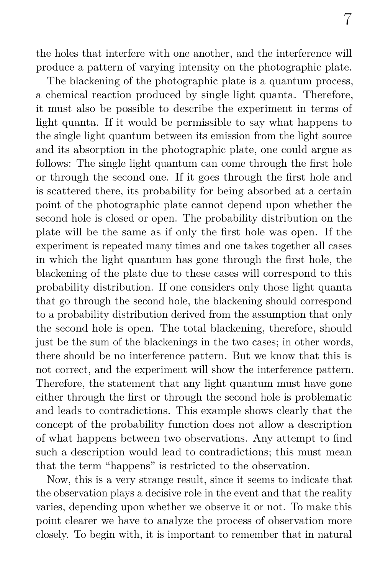the holes that interfere with one another, and the interference will produce a pattern of varying intensity on the photographic plate.

The blackening of the photographic plate is a quantum process, a chemical reaction produced by single light quanta. Therefore, it must also be possible to describe the experiment in terms of light quanta. If it would be permissible to say what happens to the single light quantum between its emission from the light source and its absorption in the photographic plate, one could argue as follows: The single light quantum can come through the first hole or through the second one. If it goes through the first hole and is scattered there, its probability for being absorbed at a certain point of the photographic plate cannot depend upon whether the second hole is closed or open. The probability distribution on the plate will be the same as if only the first hole was open. If the experiment is repeated many times and one takes together all cases in which the light quantum has gone through the first hole, the blackening of the plate due to these cases will correspond to this probability distribution. If one considers only those light quanta that go through the second hole, the blackening should correspond to a probability distribution derived from the assumption that only the second hole is open. The total blackening, therefore, should just be the sum of the blackenings in the two cases; in other words, there should be no interference pattern. But we know that this is not correct, and the experiment will show the interference pattern. Therefore, the statement that any light quantum must have gone either through the first or through the second hole is problematic and leads to contradictions. This example shows clearly that the concept of the probability function does not allow a description of what happens between two observations. Any attempt to find such a description would lead to contradictions; this must mean that the term "happens" is restricted to the observation.

Now, this is a very strange result, since it seems to indicate that the observation plays a decisive role in the event and that the reality varies, depending upon whether we observe it or not. To make this point clearer we have to analyze the process of observation more closely. To begin with, it is important to remember that in natural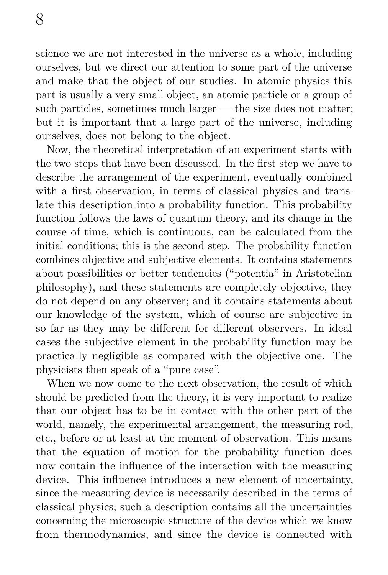science we are not interested in the universe as a whole, including ourselves, but we direct our attention to some part of the universe and make that the object of our studies. In atomic physics this part is usually a very small object, an atomic particle or a group of such particles, sometimes much larger  $-$  the size does not matter; but it is important that a large part of the universe, including ourselves, does not belong to the object.

Now, the theoretical interpretation of an experiment starts with the two steps that have been discussed. In the first step we have to describe the arrangement of the experiment, eventually combined with a first observation, in terms of classical physics and translate this description into a probability function. This probability function follows the laws of quantum theory, and its change in the course of time, which is continuous, can be calculated from the initial conditions; this is the second step. The probability function combines objective and subjective elements. It contains statements about possibilities or better tendencies ("potentia" in Aristotelian philosophy), and these statements are completely objective, they do not depend on any observer; and it contains statements about our knowledge of the system, which of course are subjective in so far as they may be different for different observers. In ideal cases the subjective element in the probability function may be practically negligible as compared with the objective one. The physicists then speak of a "pure case".

When we now come to the next observation, the result of which should be predicted from the theory, it is very important to realize that our object has to be in contact with the other part of the world, namely, the experimental arrangement, the measuring rod, etc., before or at least at the moment of observation. This means that the equation of motion for the probability function does now contain the influence of the interaction with the measuring device. This influence introduces a new element of uncertainty, since the measuring device is necessarily described in the terms of classical physics; such a description contains all the uncertainties concerning the microscopic structure of the device which we know from thermodynamics, and since the device is connected with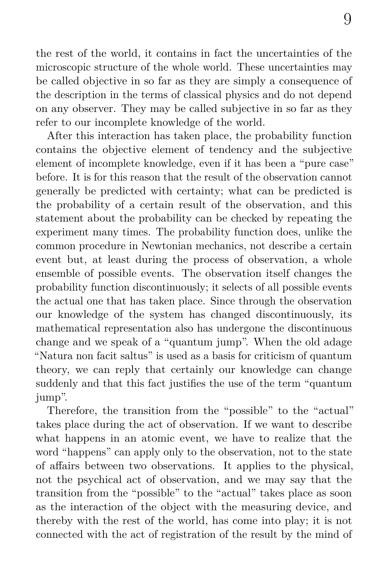the rest of the world, it contains in fact the uncertainties of the microscopic structure of the whole world. These uncertainties may be called objective in so far as they are simply a consequence of the description in the terms of classical physics and do not depend on any observer. They may be called subjective in so far as they refer to our incomplete knowledge of the world.

After this interaction has taken place, the probability function contains the objective element of tendency and the subjective element of incomplete knowledge, even if it has been a "pure case" before. It is for this reason that the result of the observation cannot generally be predicted with certainty; what can be predicted is the probability of a certain result of the observation, and this statement about the probability can be checked by repeating the experiment many times. The probability function does, unlike the common procedure in Newtonian mechanics, not describe a certain event but, at least during the process of observation, a whole ensemble of possible events. The observation itself changes the probability function discontinuously; it selects of all possible events the actual one that has taken place. Since through the observation our knowledge of the system has changed discontinuously, its mathematical representation also has undergone the discontinuous change and we speak of a "quantum jump". When the old adage "Natura non facit saltus" is used as a basis for criticism of quantum theory, we can reply that certainly our knowledge can change suddenly and that this fact justifies the use of the term "quantum jump".

Therefore, the transition from the "possible" to the "actual" takes place during the act of observation. If we want to describe what happens in an atomic event, we have to realize that the word "happens" can apply only to the observation, not to the state of affairs between two observations. It applies to the physical, not the psychical act of observation, and we may say that the transition from the "possible" to the "actual" takes place as soon as the interaction of the object with the measuring device, and thereby with the rest of the world, has come into play; it is not connected with the act of registration of the result by the mind of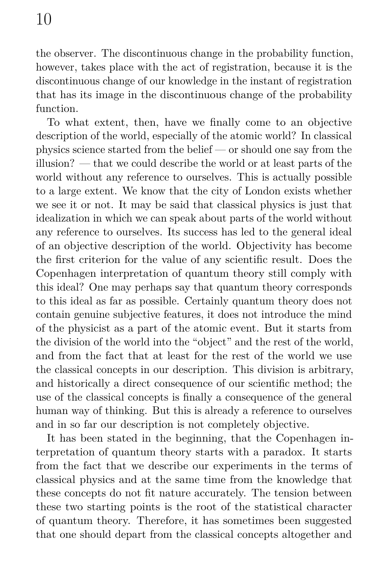the observer. The discontinuous change in the probability function, however, takes place with the act of registration, because it is the discontinuous change of our knowledge in the instant of registration that has its image in the discontinuous change of the probability function.

To what extent, then, have we finally come to an objective description of the world, especially of the atomic world? In classical physics science started from the belief — or should one say from the illusion? — that we could describe the world or at least parts of the world without any reference to ourselves. This is actually possible to a large extent. We know that the city of London exists whether we see it or not. It may be said that classical physics is just that idealization in which we can speak about parts of the world without any reference to ourselves. Its success has led to the general ideal of an objective description of the world. Objectivity has become the first criterion for the value of any scientific result. Does the Copenhagen interpretation of quantum theory still comply with this ideal? One may perhaps say that quantum theory corresponds to this ideal as far as possible. Certainly quantum theory does not contain genuine subjective features, it does not introduce the mind of the physicist as a part of the atomic event. But it starts from the division of the world into the "object" and the rest of the world, and from the fact that at least for the rest of the world we use the classical concepts in our description. This division is arbitrary, and historically a direct consequence of our scientific method; the use of the classical concepts is finally a consequence of the general human way of thinking. But this is already a reference to ourselves and in so far our description is not completely objective.

It has been stated in the beginning, that the Copenhagen interpretation of quantum theory starts with a paradox. It starts from the fact that we describe our experiments in the terms of classical physics and at the same time from the knowledge that these concepts do not fit nature accurately. The tension between these two starting points is the root of the statistical character of quantum theory. Therefore, it has sometimes been suggested that one should depart from the classical concepts altogether and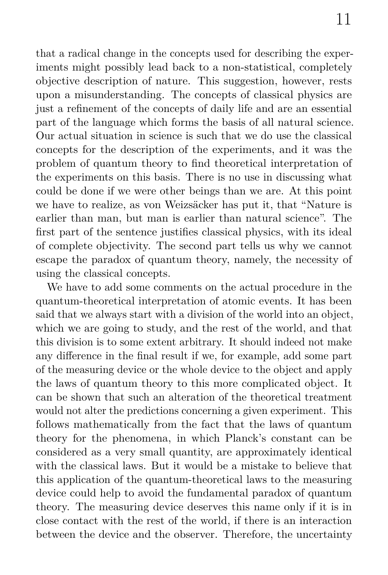that a radical change in the concepts used for describing the experiments might possibly lead back to a non-statistical, completely objective description of nature. This suggestion, however, rests upon a misunderstanding. The concepts of classical physics are just a refinement of the concepts of daily life and are an essential part of the language which forms the basis of all natural science. Our actual situation in science is such that we do use the classical concepts for the description of the experiments, and it was the problem of quantum theory to find theoretical interpretation of the experiments on this basis. There is no use in discussing what could be done if we were other beings than we are. At this point we have to realize, as von Weizsäcker has put it, that "Nature is earlier than man, but man is earlier than natural science". The first part of the sentence justifies classical physics, with its ideal of complete objectivity. The second part tells us why we cannot escape the paradox of quantum theory, namely, the necessity of using the classical concepts.

We have to add some comments on the actual procedure in the quantum-theoretical interpretation of atomic events. It has been said that we always start with a division of the world into an object, which we are going to study, and the rest of the world, and that this division is to some extent arbitrary. It should indeed not make any difference in the final result if we, for example, add some part of the measuring device or the whole device to the object and apply the laws of quantum theory to this more complicated object. It can be shown that such an alteration of the theoretical treatment would not alter the predictions concerning a given experiment. This follows mathematically from the fact that the laws of quantum theory for the phenomena, in which Planck's constant can be considered as a very small quantity, are approximately identical with the classical laws. But it would be a mistake to believe that this application of the quantum-theoretical laws to the measuring device could help to avoid the fundamental paradox of quantum theory. The measuring device deserves this name only if it is in close contact with the rest of the world, if there is an interaction between the device and the observer. Therefore, the uncertainty